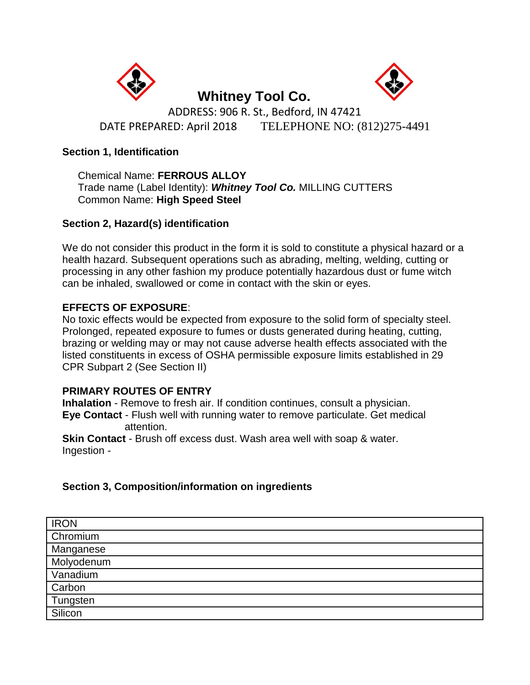



 **Whitney Tool Co.**  ADDRESS: 906 R. St., Bedford, IN 47421 DATE PREPARED: April 2018TELEPHONE NO: (812)275-4491

# **Section 1, Identification**

Chemical Name: **FERROUS ALLOY**  Trade name (Label Identity): *Whitney Tool Co.* MILLING CUTTERS Common Name: **High Speed Steel** 

# **Section 2, Hazard(s) identification**

We do not consider this product in the form it is sold to constitute a physical hazard or a health hazard. Subsequent operations such as abrading, melting, welding, cutting or processing in any other fashion my produce potentially hazardous dust or fume witch can be inhaled, swallowed or come in contact with the skin or eyes.

# **EFFECTS OF EXPOSURE**:

No toxic effects would be expected from exposure to the solid form of specialty steel. Prolonged, repeated exposure to fumes or dusts generated during heating, cutting, brazing or welding may or may not cause adverse health effects associated with the listed constituents in excess of OSHA permissible exposure limits established in 29 CPR Subpart 2 (See Section II)

## **PRIMARY ROUTES OF ENTRY**

**Inhalation** - Remove to fresh air. If condition continues, consult a physician. **Eye Contact** - Flush well with running water to remove particulate. Get medical attention.

**Skin Contact** - Brush off excess dust. Wash area well with soap & water. Ingestion -

# **Section 3, Composition/information on ingredients**

| <b>IRON</b>            |
|------------------------|
| Chromium               |
| Manganese              |
| Molyodenum<br>Vanadium |
|                        |
| Carbon                 |
| Tungsten               |
| Silicon                |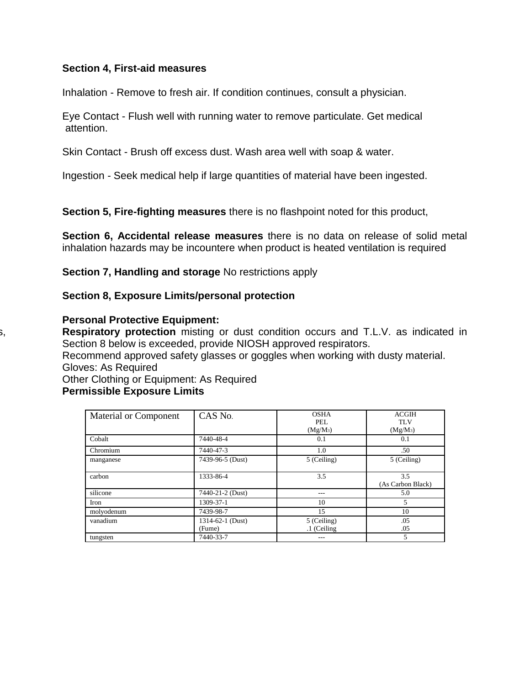#### **Section 4, First-aid measures**

Inhalation - Remove to fresh air. If condition continues, consult a physician.

Eye Contact - Flush well with running water to remove particulate. Get medical attention.

Skin Contact - Brush off excess dust. Wash area well with soap & water.

Ingestion - Seek medical help if large quantities of material have been ingested.

**Section 5, Fire-fighting measures** there is no flashpoint noted for this product,

**Section 6, Accidental release measures** there is no data on release of solid metal inhalation hazards may be incountere when product is heated ventilation is required

**Section 7, Handling and storage** No restrictions apply

#### **Section 8, Exposure Limits/personal protection**

#### **Personal Protective Equipment:**

Respiratory protection misting or dust condition occurs and T.L.V. as indicated in Section 8 below is exceeded, provide NIOSH approved respirators.

Recommend approved safety glasses or goggles when working with dusty material. Gloves: As Required

Other Clothing or Equipment: As Required

# **Permissible Exposure Limits**

| Material or Component | CAS No.          | <b>OSHA</b>        | <b>ACGIH</b>             |
|-----------------------|------------------|--------------------|--------------------------|
|                       |                  | PEL.<br>$(Mg/M_3)$ | TLV<br>$(Mg/M_3)$        |
| Cobalt                | 7440-48-4        | 0.1                | 0.1                      |
| Chromium              | 7440-47-3        | 1.0                | .50                      |
| manganese             | 7439-96-5 (Dust) | 5 (Ceiling)        | 5 (Ceiling)              |
| carbon                | 1333-86-4        | 3.5                | 3.5<br>(As Carbon Black) |
| silicone              | 7440-21-2 (Dust) |                    | 5.0                      |
| Iron                  | 1309-37-1        | 10                 | 5.                       |
| molyodenum            | 7439-98-7        | 15                 | 10                       |
| vanadium              | 1314-62-1 (Dust) | 5 (Ceiling)        | .05                      |
|                       | (Fume)           | .1 (Ceiling        | .05                      |
| tungsten              | 7440-33-7        | $- - -$            | 5                        |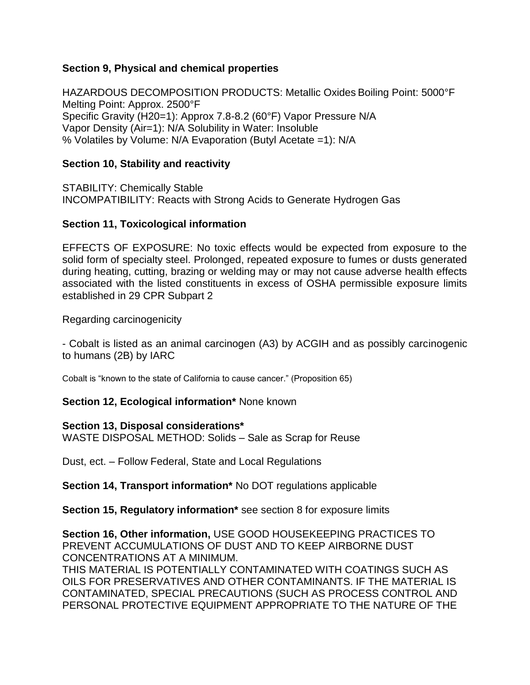## **Section 9, Physical and chemical properties**

HAZARDOUS DECOMPOSITION PRODUCTS: Metallic Oxides Boiling Point: 5000°F Melting Point: Approx. 2500°F Specific Gravity (H20=1): Approx 7.8-8.2 (60°F) Vapor Pressure N/A Vapor Density (Air=1): N/A Solubility in Water: Insoluble % Volatiles by Volume: N/A Evaporation (Butyl Acetate =1): N/A

## **Section 10, Stability and reactivity**

STABILITY: Chemically Stable INCOMPATIBILITY: Reacts with Strong Acids to Generate Hydrogen Gas

## **Section 11, Toxicological information**

EFFECTS OF EXPOSURE: No toxic effects would be expected from exposure to the solid form of specialty steel. Prolonged, repeated exposure to fumes or dusts generated during heating, cutting, brazing or welding may or may not cause adverse health effects associated with the listed constituents in excess of OSHA permissible exposure limits established in 29 CPR Subpart 2

Regarding carcinogenicity

- Cobalt is listed as an animal carcinogen (A3) by ACGIH and as possibly carcinogenic to humans (2B) by IARC

Cobalt is "known to the state of California to cause cancer." (Proposition 65)

## **Section 12, Ecological information\*** None known

## **Section 13, Disposal considerations\***

WASTE DISPOSAL METHOD: Solids – Sale as Scrap for Reuse

Dust, ect. – Follow Federal, State and Local Regulations

**Section 14, Transport information\*** No DOT regulations applicable

**Section 15, Regulatory information\*** see section 8 for exposure limits

**Section 16, Other information,** USE GOOD HOUSEKEEPING PRACTICES TO PREVENT ACCUMULATIONS OF DUST AND TO KEEP AIRBORNE DUST CONCENTRATIONS AT A MINIMUM.

THIS MATERIAL IS POTENTIALLY CONTAMINATED WITH COATINGS SUCH AS OILS FOR PRESERVATIVES AND OTHER CONTAMINANTS. IF THE MATERIAL IS CONTAMINATED, SPECIAL PRECAUTIONS (SUCH AS PROCESS CONTROL AND PERSONAL PROTECTIVE EQUIPMENT APPROPRIATE TO THE NATURE OF THE